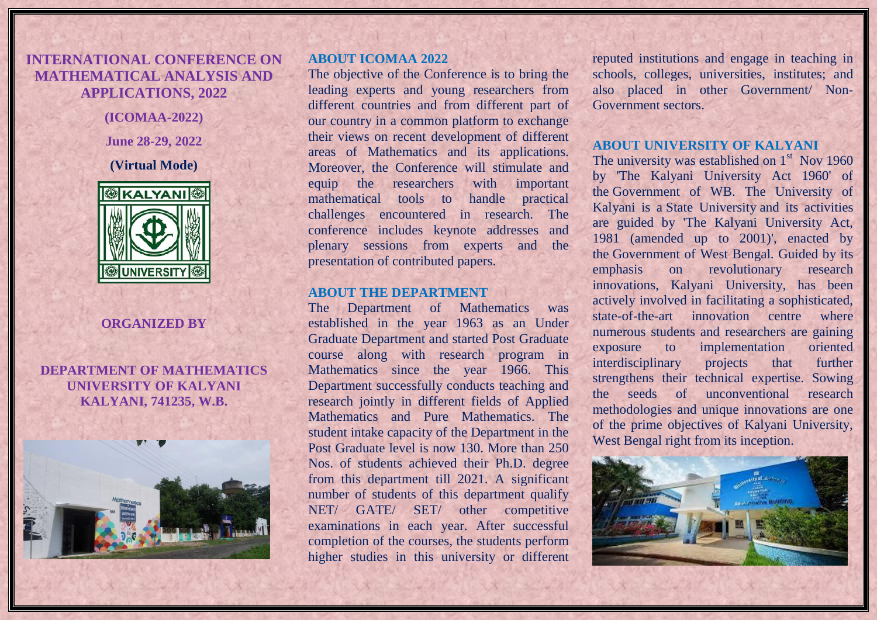# **INTERNATIONAL CONFERENCE ON MATHEMATICAL ANALYSIS AND APPLICATIONS, 2022**

**(ICOMAA-2022)**

**June 28-29, 2022**

**(Virtual Mode)**



#### **ORGANIZED BY**

### **DEPARTMENT OF MATHEMATICS UNIVERSITY OF KALYANI KALYANI, 741235, W.B.**



#### **ABOUT ICOMAA 2022**

The objective of the Conference is to bring the leading experts and young researchers from different countries and from different part of our country in a common platform to exchange their views on recent development of different areas of Mathematics and its applications. Moreover, the Conference will stimulate and equip the researchers with important mathematical tools to handle practical challenges encountered in research. The conference includes keynote addresses and plenary sessions from experts and the presentation of contributed papers.

#### **ABOUT THE DEPARTMENT**

The Department of Mathematics was established in the year 1963 as an Under Graduate Department and started Post Graduate course along with research program in Mathematics since the year 1966. This Department successfully conducts teaching and research jointly in different fields of Applied Mathematics and Pure Mathematics. The student intake capacity of the Department in the Post Graduate level is now 130. More than 250 Nos. of students achieved their Ph.D. degree from this department till 2021. A significant number of students of this department qualify NET/ GATE/ SET/ other competitive examinations in each year. After successful completion of the courses, the students perform higher studies in this university or different

reputed institutions and engage in teaching in schools, colleges, universities, institutes; and also placed in other Government/ Non-Government sectors.

### **ABOUT UNIVERSITY OF KALYANI**

The university was established on  $1<sup>st</sup>$  Nov 1960 by 'The Kalyani University Act 1960' of the Government of WB. The University of Kalyani is a State University and its activities are guided by 'The Kalyani University Act, 1981 (amended up to 2001)', enacted by the Government of West Bengal. Guided by its emphasis on revolutionary research innovations, Kalyani University, has been actively involved in facilitating a sophisticated, state-of-the-art innovation centre where numerous students and researchers are gaining exposure to implementation oriented interdisciplinary projects that further strengthens their technical expertise. Sowing the seeds of unconventional research methodologies and unique innovations are one of the prime objectives of Kalyani University, West Bengal right from its inception.